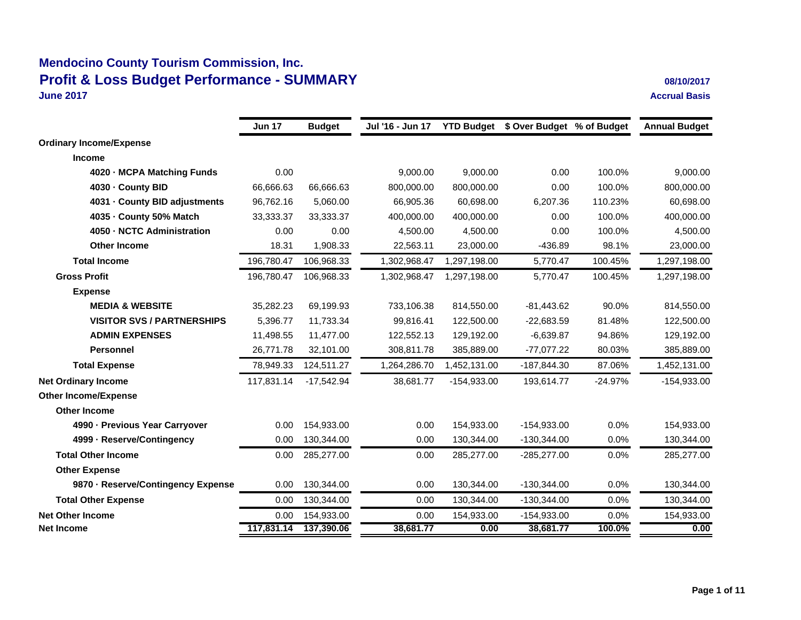### **Mendocino County Tourism Commission, Inc. Profit & Loss Budget Performance - SUMMARY 08/10/2017 June 2017**

**Accrual Basis**

|                                    | <b>Jun 17</b> | <b>Budget</b> | Jul '16 - Jun 17 |               | YTD Budget \$ Over Budget % of Budget |           | <b>Annual Budget</b> |
|------------------------------------|---------------|---------------|------------------|---------------|---------------------------------------|-----------|----------------------|
|                                    |               |               |                  |               |                                       |           |                      |
| <b>Ordinary Income/Expense</b>     |               |               |                  |               |                                       |           |                      |
| <b>Income</b>                      |               |               |                  |               |                                       |           |                      |
| 4020 - MCPA Matching Funds         | 0.00          |               | 9,000.00         | 9,000.00      | 0.00                                  | 100.0%    | 9,000.00             |
| 4030 - County BID                  | 66,666.63     | 66,666.63     | 800,000.00       | 800,000.00    | 0.00                                  | 100.0%    | 800,000.00           |
| 4031 - County BID adjustments      | 96,762.16     | 5,060.00      | 66,905.36        | 60.698.00     | 6,207.36                              | 110.23%   | 60,698.00            |
| 4035 - County 50% Match            | 33,333.37     | 33,333.37     | 400,000.00       | 400,000.00    | 0.00                                  | 100.0%    | 400,000.00           |
| 4050 - NCTC Administration         | 0.00          | 0.00          | 4,500.00         | 4,500.00      | 0.00                                  | 100.0%    | 4,500.00             |
| <b>Other Income</b>                | 18.31         | 1,908.33      | 22,563.11        | 23,000.00     | $-436.89$                             | 98.1%     | 23,000.00            |
| <b>Total Income</b>                | 196,780.47    | 106,968.33    | 1,302,968.47     | 1,297,198.00  | 5,770.47                              | 100.45%   | 1,297,198.00         |
| <b>Gross Profit</b>                | 196,780.47    | 106,968.33    | 1,302,968.47     | 1,297,198.00  | 5,770.47                              | 100.45%   | 1,297,198.00         |
| <b>Expense</b>                     |               |               |                  |               |                                       |           |                      |
| <b>MEDIA &amp; WEBSITE</b>         | 35,282.23     | 69,199.93     | 733,106.38       | 814,550.00    | $-81,443.62$                          | 90.0%     | 814,550.00           |
| <b>VISITOR SVS / PARTNERSHIPS</b>  | 5,396.77      | 11.733.34     | 99,816.41        | 122,500.00    | $-22,683.59$                          | 81.48%    | 122,500.00           |
| <b>ADMIN EXPENSES</b>              | 11,498.55     | 11,477.00     | 122,552.13       | 129,192.00    | $-6,639.87$                           | 94.86%    | 129,192.00           |
| <b>Personnel</b>                   | 26,771.78     | 32,101.00     | 308,811.78       | 385,889.00    | $-77,077.22$                          | 80.03%    | 385,889.00           |
| <b>Total Expense</b>               | 78.949.33     | 124,511.27    | 1,264,286.70     | 1,452,131.00  | -187,844.30                           | 87.06%    | 1,452,131.00         |
| <b>Net Ordinary Income</b>         | 117,831.14    | $-17,542.94$  | 38,681.77        | $-154,933.00$ | 193,614.77                            | $-24.97%$ | -154,933.00          |
| <b>Other Income/Expense</b>        |               |               |                  |               |                                       |           |                      |
| <b>Other Income</b>                |               |               |                  |               |                                       |           |                      |
| 4990 - Previous Year Carryover     | 0.00          | 154,933.00    | 0.00             | 154,933.00    | $-154,933.00$                         | 0.0%      | 154,933.00           |
| 4999 - Reserve/Contingency         | 0.00          | 130,344.00    | 0.00             | 130,344.00    | $-130,344.00$                         | 0.0%      | 130,344.00           |
| <b>Total Other Income</b>          | 0.00          | 285,277.00    | 0.00             | 285,277.00    | $-285,277.00$                         | 0.0%      | 285,277.00           |
| <b>Other Expense</b>               |               |               |                  |               |                                       |           |                      |
| 9870 - Reserve/Contingency Expense | 0.00          | 130,344.00    | 0.00             | 130,344.00    | $-130,344.00$                         | 0.0%      | 130,344.00           |
| <b>Total Other Expense</b>         | 0.00          | 130,344.00    | 0.00             | 130,344.00    | $-130,344.00$                         | 0.0%      | 130,344.00           |
| <b>Net Other Income</b>            | 0.00          | 154,933.00    | 0.00             | 154,933.00    | $-154,933.00$                         | 0.0%      | 154,933.00           |
| <b>Net Income</b>                  | 117,831.14    | 137,390.06    | 38,681.77        | 0.00          | 38,681.77                             | 100.0%    | 0.00                 |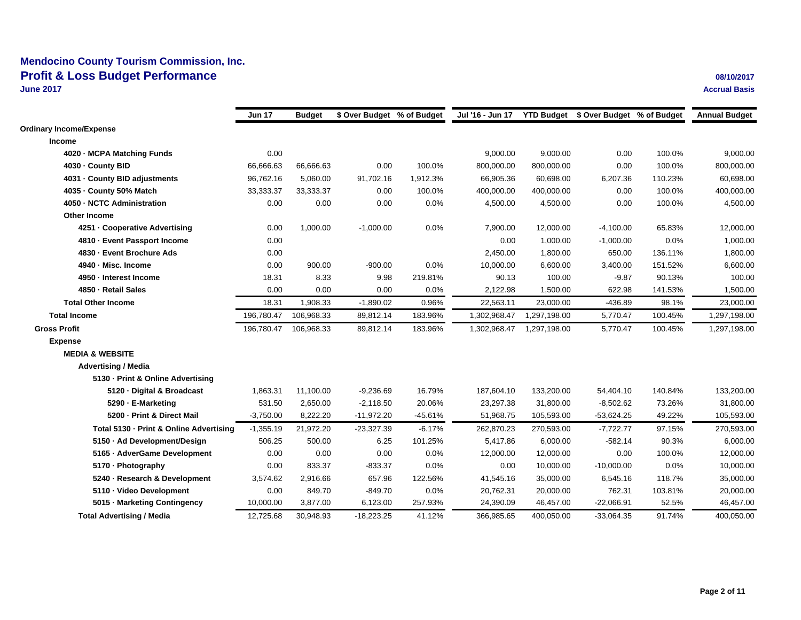|                                         | Jun 17      | <b>Budget</b> | \$ Over Budget % of Budget |           | Jul '16 - Jun 17 YTD Budget \$ Over Budget % of Budget |              |              |         | <b>Annual Budget</b> |
|-----------------------------------------|-------------|---------------|----------------------------|-----------|--------------------------------------------------------|--------------|--------------|---------|----------------------|
| <b>Ordinary Income/Expense</b>          |             |               |                            |           |                                                        |              |              |         |                      |
| <b>Income</b>                           |             |               |                            |           |                                                        |              |              |         |                      |
| 4020 - MCPA Matching Funds              | 0.00        |               |                            |           | 9,000.00                                               | 9,000.00     | 0.00         | 100.0%  | 9,000.00             |
| 4030 - County BID                       | 66,666.63   | 66,666.63     | 0.00                       | 100.0%    | 800,000.00                                             | 800,000.00   | 0.00         | 100.0%  | 800,000.00           |
| 4031 - County BID adjustments           | 96,762.16   | 5,060.00      | 91,702.16                  | 1,912.3%  | 66,905.36                                              | 60,698.00    | 6,207.36     | 110.23% | 60,698.00            |
| 4035 - County 50% Match                 | 33,333.37   | 33,333.37     | 0.00                       | 100.0%    | 400,000.00                                             | 400,000.00   | 0.00         | 100.0%  | 400,000.00           |
| 4050 - NCTC Administration              | 0.00        | 0.00          | 0.00                       | 0.0%      | 4,500.00                                               | 4,500.00     | 0.00         | 100.0%  | 4,500.00             |
| <b>Other Income</b>                     |             |               |                            |           |                                                        |              |              |         |                      |
| 4251 - Cooperative Advertising          | 0.00        | 1,000.00      | $-1,000.00$                | 0.0%      | 7,900.00                                               | 12,000.00    | $-4,100.00$  | 65.83%  | 12,000.00            |
| 4810 - Event Passport Income            | 0.00        |               |                            |           | 0.00                                                   | 1,000.00     | $-1,000.00$  | 0.0%    | 1,000.00             |
| 4830 - Event Brochure Ads               | 0.00        |               |                            |           | 2,450.00                                               | 1,800.00     | 650.00       | 136.11% | 1,800.00             |
| 4940 · Misc. Income                     | 0.00        | 900.00        | $-900.00$                  | 0.0%      | 10,000.00                                              | 6,600.00     | 3,400.00     | 151.52% | 6,600.00             |
| 4950 - Interest Income                  | 18.31       | 8.33          | 9.98                       | 219.81%   | 90.13                                                  | 100.00       | $-9.87$      | 90.13%  | 100.00               |
| 4850 - Retail Sales                     | 0.00        | 0.00          | 0.00                       | 0.0%      | 2,122.98                                               | 1,500.00     | 622.98       | 141.53% | 1,500.00             |
| <b>Total Other Income</b>               | 18.31       | 1,908.33      | $-1,890.02$                | 0.96%     | 22,563.11                                              | 23,000.00    | $-436.89$    | 98.1%   | 23,000.00            |
| <b>Total Income</b>                     | 196,780.47  | 106,968.33    | 89,812.14                  | 183.96%   | 1,302,968.47                                           | 1,297,198.00 | 5,770.47     | 100.45% | 1,297,198.00         |
| <b>Gross Profit</b>                     | 196,780.47  | 106,968.33    | 89,812.14                  | 183.96%   | 1,302,968.47                                           | 1,297,198.00 | 5,770.47     | 100.45% | 1,297,198.00         |
| <b>Expense</b>                          |             |               |                            |           |                                                        |              |              |         |                      |
| <b>MEDIA &amp; WEBSITE</b>              |             |               |                            |           |                                                        |              |              |         |                      |
| <b>Advertising / Media</b>              |             |               |                            |           |                                                        |              |              |         |                      |
| 5130 - Print & Online Advertising       |             |               |                            |           |                                                        |              |              |         |                      |
| 5120 · Digital & Broadcast              | 1,863.31    | 11,100.00     | $-9,236.69$                | 16.79%    | 187,604.10                                             | 133,200.00   | 54,404.10    | 140.84% | 133,200.00           |
| 5290 - E-Marketing                      | 531.50      | 2,650.00      | $-2,118.50$                | 20.06%    | 23,297.38                                              | 31,800.00    | $-8,502.62$  | 73.26%  | 31,800.00            |
| 5200 - Print & Direct Mail              | $-3,750.00$ | 8,222.20      | $-11,972.20$               | $-45.61%$ | 51,968.75                                              | 105,593.00   | $-53,624.25$ | 49.22%  | 105,593.00           |
| Total 5130 - Print & Online Advertising | $-1,355.19$ | 21,972.20     | $-23,327.39$               | $-6.17%$  | 262,870.23                                             | 270,593.00   | $-7,722.77$  | 97.15%  | 270,593.00           |
| 5150 · Ad Development/Design            | 506.25      | 500.00        | 6.25                       | 101.25%   | 5,417.86                                               | 6,000.00     | $-582.14$    | 90.3%   | 6,000.00             |
| 5165 - AdverGame Development            | 0.00        | 0.00          | 0.00                       | 0.0%      | 12,000.00                                              | 12,000.00    | 0.00         | 100.0%  | 12,000.00            |
| 5170 - Photography                      | 0.00        | 833.37        | $-833.37$                  | 0.0%      | 0.00                                                   | 10,000.00    | $-10,000.00$ | 0.0%    | 10,000.00            |
| 5240 · Research & Development           | 3,574.62    | 2,916.66      | 657.96                     | 122.56%   | 41,545.16                                              | 35,000.00    | 6,545.16     | 118.7%  | 35,000.00            |
| 5110 · Video Development                | 0.00        | 849.70        | $-849.70$                  | 0.0%      | 20,762.31                                              | 20,000.00    | 762.31       | 103.81% | 20,000.00            |
| 5015 · Marketing Contingency            | 10,000.00   | 3,877.00      | 6,123.00                   | 257.93%   | 24,390.09                                              | 46,457.00    | $-22,066.91$ | 52.5%   | 46,457.00            |
| <b>Total Advertising / Media</b>        | 12,725.68   | 30,948.93     | $-18,223.25$               | 41.12%    | 366,985.65                                             | 400,050.00   | $-33,064.35$ | 91.74%  | 400,050.00           |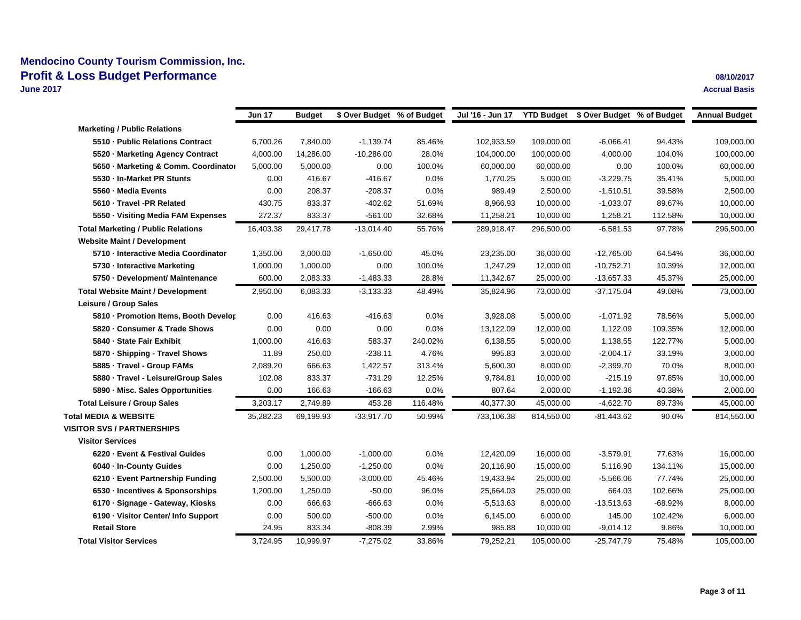|                                           | <b>Jun 17</b> | Budget    | \$ Over Budget % of Budget |         | Jul '16 - Jun 17 YTD Budget \$ Over Budget % of Budget |            |              |           | <b>Annual Budget</b> |
|-------------------------------------------|---------------|-----------|----------------------------|---------|--------------------------------------------------------|------------|--------------|-----------|----------------------|
|                                           |               |           |                            |         |                                                        |            |              |           |                      |
| <b>Marketing / Public Relations</b>       |               |           |                            |         |                                                        |            |              |           |                      |
| 5510 - Public Relations Contract          | 6,700.26      | 7,840.00  | $-1,139.74$                | 85.46%  | 102,933.59                                             | 109,000.00 | $-6,066.41$  | 94.43%    | 109,000.00           |
| 5520 · Marketing Agency Contract          | 4,000.00      | 14,286.00 | $-10,286.00$               | 28.0%   | 104,000.00                                             | 100,000.00 | 4,000.00     | 104.0%    | 100,000.00           |
| 5650 Marketing & Comm. Coordinator        | 5,000.00      | 5,000.00  | 0.00                       | 100.0%  | 60,000.00                                              | 60,000.00  | 0.00         | 100.0%    | 60,000.00            |
| 5530 - In-Market PR Stunts                | 0.00          | 416.67    | -416.67                    | 0.0%    | 1,770.25                                               | 5,000.00   | $-3,229.75$  | 35.41%    | 5,000.00             |
| 5560 - Media Events                       | 0.00          | 208.37    | $-208.37$                  | 0.0%    | 989.49                                                 | 2,500.00   | $-1,510.51$  | 39.58%    | 2,500.00             |
| 5610 - Travel -PR Related                 | 430.75        | 833.37    | -402.62                    | 51.69%  | 8,966.93                                               | 10,000.00  | $-1,033.07$  | 89.67%    | 10,000.00            |
| 5550 · Visiting Media FAM Expenses        | 272.37        | 833.37    | $-561.00$                  | 32.68%  | 11,258.21                                              | 10,000.00  | 1,258.21     | 112.58%   | 10,000.00            |
| <b>Total Marketing / Public Relations</b> | 16,403.38     | 29,417.78 | $-13,014.40$               | 55.76%  | 289,918.47                                             | 296,500.00 | $-6,581.53$  | 97.78%    | 296,500.00           |
| <b>Website Maint / Development</b>        |               |           |                            |         |                                                        |            |              |           |                      |
| 5710 - Interactive Media Coordinator      | 1,350.00      | 3,000.00  | $-1,650.00$                | 45.0%   | 23,235.00                                              | 36,000.00  | $-12,765.00$ | 64.54%    | 36,000.00            |
| 5730 - Interactive Marketing              | 1,000.00      | 1,000.00  | 0.00                       | 100.0%  | 1,247.29                                               | 12,000.00  | $-10,752.71$ | 10.39%    | 12,000.00            |
| 5750 · Development/ Maintenance           | 600.00        | 2,083.33  | $-1,483.33$                | 28.8%   | 11,342.67                                              | 25,000.00  | $-13,657.33$ | 45.37%    | 25,000.00            |
| <b>Total Website Maint / Development</b>  | 2,950.00      | 6,083.33  | $-3,133.33$                | 48.49%  | 35,824.96                                              | 73,000.00  | $-37,175.04$ | 49.08%    | 73,000.00            |
| Leisure / Group Sales                     |               |           |                            |         |                                                        |            |              |           |                      |
| 5810 - Promotion Items, Booth Develor     | 0.00          | 416.63    | -416.63                    | 0.0%    | 3,928.08                                               | 5,000.00   | -1,071.92    | 78.56%    | 5,000.00             |
| 5820 · Consumer & Trade Shows             | 0.00          | 0.00      | 0.00                       | 0.0%    | 13,122.09                                              | 12,000.00  | 1,122.09     | 109.35%   | 12,000.00            |
| 5840 - State Fair Exhibit                 | 1,000.00      | 416.63    | 583.37                     | 240.02% | 6,138.55                                               | 5,000.00   | 1,138.55     | 122.77%   | 5,000.00             |
| 5870 · Shipping - Travel Shows            | 11.89         | 250.00    | $-238.11$                  | 4.76%   | 995.83                                                 | 3,000.00   | $-2,004.17$  | 33.19%    | 3,000.00             |
| 5885 · Travel - Group FAMs                | 2,089.20      | 666.63    | 1,422.57                   | 313.4%  | 5,600.30                                               | 8,000.00   | $-2,399.70$  | 70.0%     | 8,000.00             |
| 5880 · Travel - Leisure/Group Sales       | 102.08        | 833.37    | $-731.29$                  | 12.25%  | 9,784.81                                               | 10,000.00  | $-215.19$    | 97.85%    | 10,000.00            |
| 5890 - Misc. Sales Opportunities          | 0.00          | 166.63    | $-166.63$                  | 0.0%    | 807.64                                                 | 2,000.00   | $-1,192.36$  | 40.38%    | 2,000.00             |
| <b>Total Leisure / Group Sales</b>        | 3,203.17      | 2,749.89  | 453.28                     | 116.48% | 40,377.30                                              | 45,000.00  | $-4,622.70$  | 89.73%    | 45,000.00            |
| <b>Total MEDIA &amp; WEBSITE</b>          | 35,282.23     | 69,199.93 | $-33,917.70$               | 50.99%  | 733,106.38                                             | 814,550.00 | -81,443.62   | 90.0%     | 814,550.00           |
| <b>VISITOR SVS / PARTNERSHIPS</b>         |               |           |                            |         |                                                        |            |              |           |                      |
| <b>Visitor Services</b>                   |               |           |                            |         |                                                        |            |              |           |                      |
| 6220 - Event & Festival Guides            | 0.00          | 1,000.00  | $-1,000.00$                | 0.0%    | 12,420.09                                              | 16,000.00  | $-3,579.91$  | 77.63%    | 16,000.00            |
| 6040 - In-County Guides                   | 0.00          | 1,250.00  | $-1,250.00$                | 0.0%    | 20,116.90                                              | 15,000.00  | 5,116.90     | 134.11%   | 15,000.00            |
| 6210 - Event Partnership Funding          | 2,500.00      | 5,500.00  | $-3,000.00$                | 45.46%  | 19,433.94                                              | 25,000.00  | $-5,566.06$  | 77.74%    | 25,000.00            |
| 6530 - Incentives & Sponsorships          | 1,200.00      | 1,250.00  | $-50.00$                   | 96.0%   | 25,664.03                                              | 25,000.00  | 664.03       | 102.66%   | 25,000.00            |
| 6170 · Signage - Gateway, Kiosks          | 0.00          | 666.63    | $-666.63$                  | 0.0%    | $-5,513.63$                                            | 8,000.00   | $-13,513.63$ | $-68.92%$ | 8,000.00             |
| 6190 - Visitor Center/ Info Support       | 0.00          | 500.00    | $-500.00$                  | 0.0%    | 6,145.00                                               | 6,000.00   | 145.00       | 102.42%   | 6,000.00             |
| <b>Retail Store</b>                       | 24.95         | 833.34    | $-808.39$                  | 2.99%   | 985.88                                                 | 10,000.00  | -9,014.12    | 9.86%     | 10,000.00            |
| <b>Total Visitor Services</b>             | 3,724.95      | 10,999.97 | $-7,275.02$                | 33.86%  | 79,252.21                                              | 105,000.00 | -25,747.79   | 75.48%    | 105,000.00           |
|                                           |               |           |                            |         |                                                        |            |              |           |                      |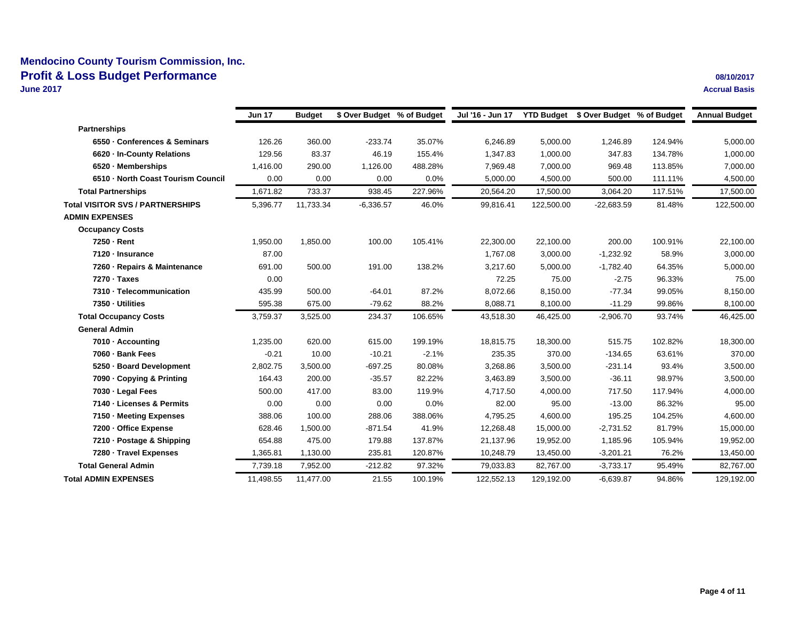|                                         | <b>Jun 17</b> | <b>Budget</b> | \$ Over Budget % of Budget |         | Jul '16 - Jun 17 |            | YTD Budget \$ Over Budget % of Budget |         | <b>Annual Budget</b> |
|-----------------------------------------|---------------|---------------|----------------------------|---------|------------------|------------|---------------------------------------|---------|----------------------|
| <b>Partnerships</b>                     |               |               |                            |         |                  |            |                                       |         |                      |
| 6550 - Conferences & Seminars           | 126.26        | 360.00        | $-233.74$                  | 35.07%  | 6,246.89         | 5,000.00   | 1,246.89                              | 124.94% | 5,000.00             |
| 6620 - In-County Relations              | 129.56        | 83.37         | 46.19                      | 155.4%  | 1,347.83         | 1,000.00   | 347.83                                | 134.78% | 1,000.00             |
| 6520 · Memberships                      | 1,416.00      | 290.00        | 1,126.00                   | 488.28% | 7,969.48         | 7,000.00   | 969.48                                | 113.85% | 7,000.00             |
| 6510 - North Coast Tourism Council      | 0.00          | 0.00          | 0.00                       | 0.0%    | 5,000.00         | 4,500.00   | 500.00                                | 111.11% | 4,500.00             |
| <b>Total Partnerships</b>               | 1,671.82      | 733.37        | 938.45                     | 227.96% | 20,564.20        | 17,500.00  | 3,064.20                              | 117.51% | 17,500.00            |
| <b>Total VISITOR SVS / PARTNERSHIPS</b> | 5,396.77      | 11,733.34     | $-6,336.57$                | 46.0%   | 99,816.41        | 122,500.00 | $-22,683.59$                          | 81.48%  | 122,500.00           |
| <b>ADMIN EXPENSES</b>                   |               |               |                            |         |                  |            |                                       |         |                      |
| <b>Occupancy Costs</b>                  |               |               |                            |         |                  |            |                                       |         |                      |
| 7250 - Rent                             | 1,950.00      | 1,850.00      | 100.00                     | 105.41% | 22,300.00        | 22,100.00  | 200.00                                | 100.91% | 22,100.00            |
| 7120 - Insurance                        | 87.00         |               |                            |         | 1,767.08         | 3,000.00   | $-1,232.92$                           | 58.9%   | 3,000.00             |
| 7260 - Repairs & Maintenance            | 691.00        | 500.00        | 191.00                     | 138.2%  | 3,217.60         | 5,000.00   | $-1,782.40$                           | 64.35%  | 5,000.00             |
| 7270 - Taxes                            | 0.00          |               |                            |         | 72.25            | 75.00      | $-2.75$                               | 96.33%  | 75.00                |
| 7310 - Telecommunication                | 435.99        | 500.00        | $-64.01$                   | 87.2%   | 8,072.66         | 8,150.00   | $-77.34$                              | 99.05%  | 8,150.00             |
| 7350 - Utilities                        | 595.38        | 675.00        | $-79.62$                   | 88.2%   | 8,088.71         | 8,100.00   | $-11.29$                              | 99.86%  | 8,100.00             |
| <b>Total Occupancy Costs</b>            | 3,759.37      | 3,525.00      | 234.37                     | 106.65% | 43,518.30        | 46,425.00  | $-2,906.70$                           | 93.74%  | 46,425.00            |
| <b>General Admin</b>                    |               |               |                            |         |                  |            |                                       |         |                      |
| 7010 - Accounting                       | 1,235.00      | 620.00        | 615.00                     | 199.19% | 18,815.75        | 18,300.00  | 515.75                                | 102.82% | 18,300.00            |
| 7060 · Bank Fees                        | $-0.21$       | 10.00         | $-10.21$                   | $-2.1%$ | 235.35           | 370.00     | $-134.65$                             | 63.61%  | 370.00               |
| 5250 - Board Development                | 2,802.75      | 3,500.00      | $-697.25$                  | 80.08%  | 3,268.86         | 3,500.00   | $-231.14$                             | 93.4%   | 3,500.00             |
| 7090 - Copying & Printing               | 164.43        | 200.00        | $-35.57$                   | 82.22%  | 3,463.89         | 3,500.00   | $-36.11$                              | 98.97%  | 3,500.00             |
| 7030 - Legal Fees                       | 500.00        | 417.00        | 83.00                      | 119.9%  | 4,717.50         | 4,000.00   | 717.50                                | 117.94% | 4,000.00             |
| 7140 - Licenses & Permits               | 0.00          | 0.00          | 0.00                       | 0.0%    | 82.00            | 95.00      | $-13.00$                              | 86.32%  | 95.00                |
| 7150 · Meeting Expenses                 | 388.06        | 100.00        | 288.06                     | 388.06% | 4,795.25         | 4,600.00   | 195.25                                | 104.25% | 4,600.00             |
| 7200 - Office Expense                   | 628.46        | 1,500.00      | $-871.54$                  | 41.9%   | 12,268.48        | 15.000.00  | $-2,731.52$                           | 81.79%  | 15,000.00            |
| 7210 · Postage & Shipping               | 654.88        | 475.00        | 179.88                     | 137.87% | 21,137.96        | 19,952.00  | 1,185.96                              | 105.94% | 19,952.00            |
| 7280 · Travel Expenses                  | 1,365.81      | 1,130.00      | 235.81                     | 120.87% | 10,248.79        | 13,450.00  | $-3,201.21$                           | 76.2%   | 13,450.00            |
| <b>Total General Admin</b>              | 7,739.18      | 7,952.00      | $-212.82$                  | 97.32%  | 79,033.83        | 82,767.00  | $-3,733.17$                           | 95.49%  | 82,767.00            |
| <b>Total ADMIN EXPENSES</b>             | 11,498.55     | 11,477.00     | 21.55                      | 100.19% | 122,552.13       | 129,192.00 | $-6,639.87$                           | 94.86%  | 129,192.00           |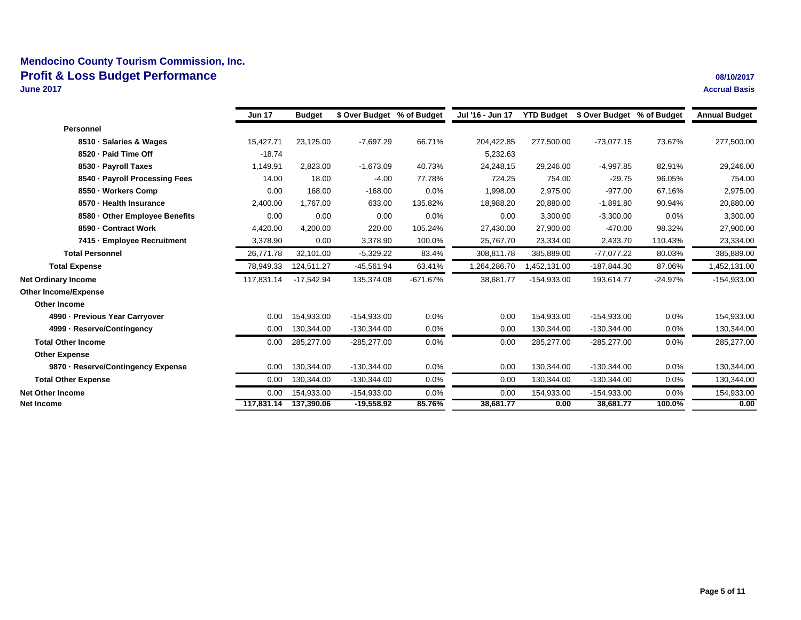|                                    | <b>Jun 17</b> | <b>Budget</b> | \$ Over Budget % of Budget |            | Jul '16 - Jun 17 |               | YTD Budget \$ Over Budget % of Budget |           | <b>Annual Budget</b> |
|------------------------------------|---------------|---------------|----------------------------|------------|------------------|---------------|---------------------------------------|-----------|----------------------|
| Personnel                          |               |               |                            |            |                  |               |                                       |           |                      |
| 8510 · Salaries & Wages            | 15,427.71     | 23,125.00     | $-7,697.29$                | 66.71%     | 204,422.85       | 277,500.00    | $-73,077.15$                          | 73.67%    | 277,500.00           |
| 8520 - Paid Time Off               | $-18.74$      |               |                            |            | 5,232.63         |               |                                       |           |                      |
| 8530 - Payroll Taxes               | 1,149.91      | 2,823.00      | $-1,673.09$                | 40.73%     | 24,248.15        | 29,246.00     | $-4,997.85$                           | 82.91%    | 29,246.00            |
| 8540 · Payroll Processing Fees     | 14.00         | 18.00         | $-4.00$                    | 77.78%     | 724.25           | 754.00        | $-29.75$                              | 96.05%    | 754.00               |
| 8550 · Workers Comp                | 0.00          | 168.00        | $-168.00$                  | 0.0%       | 1,998.00         | 2,975.00      | $-977.00$                             | 67.16%    | 2,975.00             |
| 8570 - Health Insurance            | 2,400.00      | 1,767.00      | 633.00                     | 135.82%    | 18,988.20        | 20,880.00     | $-1,891.80$                           | 90.94%    | 20,880.00            |
| 8580 - Other Employee Benefits     | 0.00          | 0.00          | 0.00                       | 0.0%       | 0.00             | 3,300.00      | $-3,300.00$                           | 0.0%      | 3,300.00             |
| 8590 - Contract Work               | 4,420.00      | 4,200.00      | 220.00                     | 105.24%    | 27,430.00        | 27,900.00     | $-470.00$                             | 98.32%    | 27,900.00            |
| 7415 - Employee Recruitment        | 3,378.90      | 0.00          | 3,378.90                   | 100.0%     | 25,767.70        | 23,334.00     | 2,433.70                              | 110.43%   | 23,334.00            |
| <b>Total Personnel</b>             | 26,771.78     | 32,101.00     | $-5,329.22$                | 83.4%      | 308,811.78       | 385,889.00    | $-77.077.22$                          | 80.03%    | 385,889.00           |
| <b>Total Expense</b>               | 78,949.33     | 124,511.27    | $-45,561.94$               | 63.41%     | 1,264,286.70     | 1,452,131.00  | -187,844.30                           | 87.06%    | 1,452,131.00         |
| <b>Net Ordinary Income</b>         | 117,831.14    | $-17,542.94$  | 135,374.08                 | $-671.67%$ | 38,681.77        | $-154,933.00$ | 193,614.77                            | $-24.97%$ | $-154,933.00$        |
| <b>Other Income/Expense</b>        |               |               |                            |            |                  |               |                                       |           |                      |
| <b>Other Income</b>                |               |               |                            |            |                  |               |                                       |           |                      |
| 4990 - Previous Year Carryover     | 0.00          | 154.933.00    | $-154,933.00$              | 0.0%       | 0.00             | 154,933.00    | $-154,933.00$                         | 0.0%      | 154,933.00           |
| 4999 · Reserve/Contingency         | 0.00          | 130,344.00    | $-130,344.00$              | 0.0%       | 0.00             | 130,344.00    | $-130,344.00$                         | 0.0%      | 130,344.00           |
| <b>Total Other Income</b>          | 0.00          | 285,277.00    | $-285,277.00$              | 0.0%       | 0.00             | 285,277.00    | $-285,277.00$                         | 0.0%      | 285,277.00           |
| <b>Other Expense</b>               |               |               |                            |            |                  |               |                                       |           |                      |
| 9870 - Reserve/Contingency Expense | 0.00          | 130,344.00    | $-130,344.00$              | 0.0%       | 0.00             | 130,344.00    | $-130,344.00$                         | 0.0%      | 130,344.00           |
| <b>Total Other Expense</b>         | 0.00          | 130,344.00    | $-130,344.00$              | 0.0%       | 0.00             | 130,344.00    | $-130,344.00$                         | 0.0%      | 130,344.00           |
| <b>Net Other Income</b>            | 0.00          | 154,933.00    | $-154,933.00$              | 0.0%       | 0.00             | 154,933.00    | -154,933.00                           | 0.0%      | 154,933.00           |
| <b>Net Income</b>                  | 117.831.14    | 137.390.06    | $-19.558.92$               | 85.76%     | 38.681.77        | 0.00          | 38.681.77                             | 100.0%    | 0.00                 |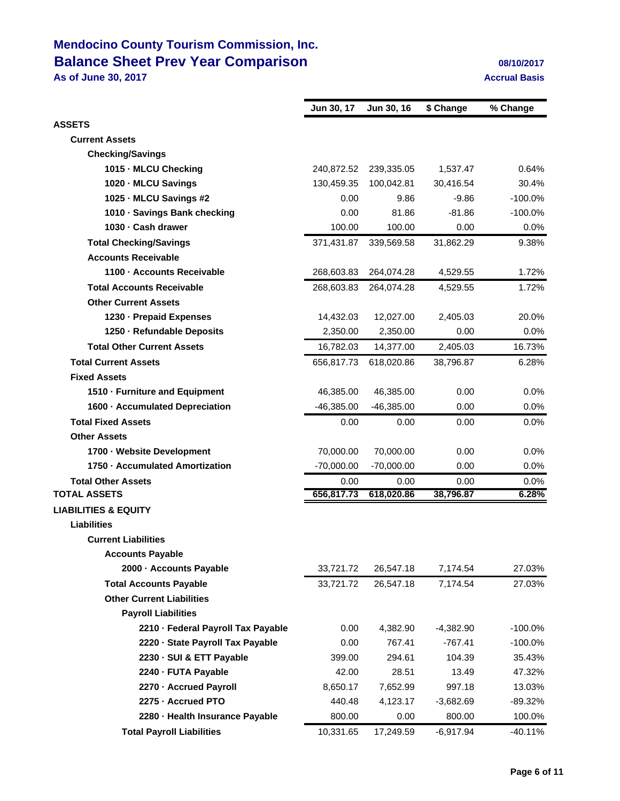# **Mendocino County Tourism Commission, Inc. Balance Sheet Prev Year Comparison 1989 102017** 08/10/2017

**As of June 30, 2017 Accrual Basis**

|                                    | Jun 30, 17   | Jun 30, 16   | \$ Change   | % Change   |
|------------------------------------|--------------|--------------|-------------|------------|
| <b>ASSETS</b>                      |              |              |             |            |
| <b>Current Assets</b>              |              |              |             |            |
| <b>Checking/Savings</b>            |              |              |             |            |
| 1015 MLCU Checking                 | 240,872.52   | 239,335.05   | 1.537.47    | 0.64%      |
| 1020 - MLCU Savings                | 130,459.35   | 100,042.81   | 30,416.54   | 30.4%      |
| 1025 MLCU Savings #2               | 0.00         | 9.86         | $-9.86$     | $-100.0%$  |
| 1010 Savings Bank checking         | 0.00         | 81.86        | $-81.86$    | $-100.0%$  |
| 1030 Cash drawer                   | 100.00       | 100.00       | 0.00        | $0.0\%$    |
| <b>Total Checking/Savings</b>      | 371,431.87   | 339,569.58   | 31,862.29   | 9.38%      |
| <b>Accounts Receivable</b>         |              |              |             |            |
| 1100 - Accounts Receivable         | 268,603.83   | 264,074.28   | 4,529.55    | 1.72%      |
| <b>Total Accounts Receivable</b>   | 268,603.83   | 264,074.28   | 4,529.55    | 1.72%      |
| <b>Other Current Assets</b>        |              |              |             |            |
| 1230 - Prepaid Expenses            | 14,432.03    | 12,027.00    | 2,405.03    | 20.0%      |
| 1250 - Refundable Deposits         | 2,350.00     | 2,350.00     | 0.00        | 0.0%       |
| <b>Total Other Current Assets</b>  | 16,782.03    | 14,377.00    | 2,405.03    | 16.73%     |
| <b>Total Current Assets</b>        | 656,817.73   | 618,020.86   | 38,796.87   | 6.28%      |
| <b>Fixed Assets</b>                |              |              |             |            |
| 1510 - Furniture and Equipment     | 46,385.00    | 46,385.00    | 0.00        | 0.0%       |
| 1600 - Accumulated Depreciation    | $-46,385.00$ | $-46,385.00$ | 0.00        | 0.0%       |
| <b>Total Fixed Assets</b>          | 0.00         | 0.00         | 0.00        | $0.0\%$    |
| <b>Other Assets</b>                |              |              |             |            |
| 1700 Website Development           | 70,000.00    | 70,000.00    | 0.00        | $0.0\%$    |
| 1750 Accumulated Amortization      | $-70,000.00$ | $-70,000.00$ | 0.00        | 0.0%       |
| <b>Total Other Assets</b>          | 0.00         | 0.00         | 0.00        | 0.0%       |
| <b>TOTAL ASSETS</b>                | 656,817.73   | 618,020.86   | 38,796.87   | 6.28%      |
| <b>LIABILITIES &amp; EQUITY</b>    |              |              |             |            |
| Liabilities                        |              |              |             |            |
| <b>Current Liabilities</b>         |              |              |             |            |
| <b>Accounts Payable</b>            |              |              |             |            |
| 2000 - Accounts Payable            | 33,721.72    | 26,547.18    | 7,174.54    | 27.03%     |
| <b>Total Accounts Payable</b>      | 33,721.72    | 26,547.18    | 7,174.54    | 27.03%     |
| <b>Other Current Liabilities</b>   |              |              |             |            |
| <b>Payroll Liabilities</b>         |              |              |             |            |
| 2210 - Federal Payroll Tax Payable | 0.00         | 4,382.90     | $-4,382.90$ | $-100.0\%$ |
| 2220 - State Payroll Tax Payable   | 0.00         | 767.41       | $-767.41$   | $-100.0%$  |
| 2230 - SUI & ETT Payable           | 399.00       | 294.61       | 104.39      | 35.43%     |
| 2240 - FUTA Payable                | 42.00        | 28.51        | 13.49       | 47.32%     |
| 2270 - Accrued Payroll             | 8,650.17     | 7,652.99     | 997.18      | 13.03%     |
| 2275 - Accrued PTO                 | 440.48       | 4,123.17     | $-3,682.69$ | -89.32%    |
| 2280 - Health Insurance Payable    | 800.00       | 0.00         | 800.00      | 100.0%     |
| <b>Total Payroll Liabilities</b>   | 10,331.65    | 17,249.59    | $-6,917.94$ | $-40.11%$  |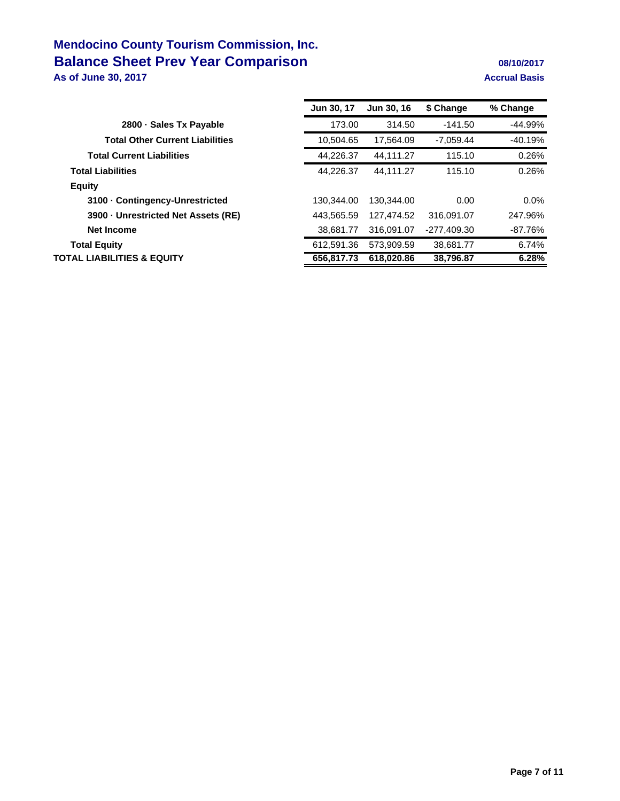## **Mendocino County Tourism Commission, Inc. Balance Sheet Prev Year Comparison 1989 102017** 08/10/2017 **As of June 30, 2017 Accrual Basis**

|                                        | <b>Jun 30, 17</b> | Jun 30, 16 | \$ Change   | % Change  |
|----------------------------------------|-------------------|------------|-------------|-----------|
| 2800 Sales Tx Payable                  | 173.00            | 314.50     | $-141.50$   | $-44.99%$ |
| <b>Total Other Current Liabilities</b> | 10.504.65         | 17.564.09  | $-7.059.44$ | $-40.19%$ |
| <b>Total Current Liabilities</b>       | 44.226.37         | 44.111.27  | 115.10      | 0.26%     |
| <b>Total Liabilities</b>               | 44.226.37         | 44.111.27  | 115.10      | 0.26%     |
| Equity                                 |                   |            |             |           |
| 3100 Contingency-Unrestricted          | 130.344.00        | 130.344.00 | 0.00        | $0.0\%$   |
| 3900 Unrestricted Net Assets (RE)      | 443,565.59        | 127.474.52 | 316.091.07  | 247.96%   |
| <b>Net Income</b>                      | 38.681.77         | 316.091.07 | -277,409.30 | $-87.76%$ |
| <b>Total Equity</b>                    | 612.591.36        | 573.909.59 | 38.681.77   | 6.74%     |
| <b>TOTAL LIABILITIES &amp; EQUITY</b>  | 656,817.73        | 618,020.86 | 38,796.87   | 6.28%     |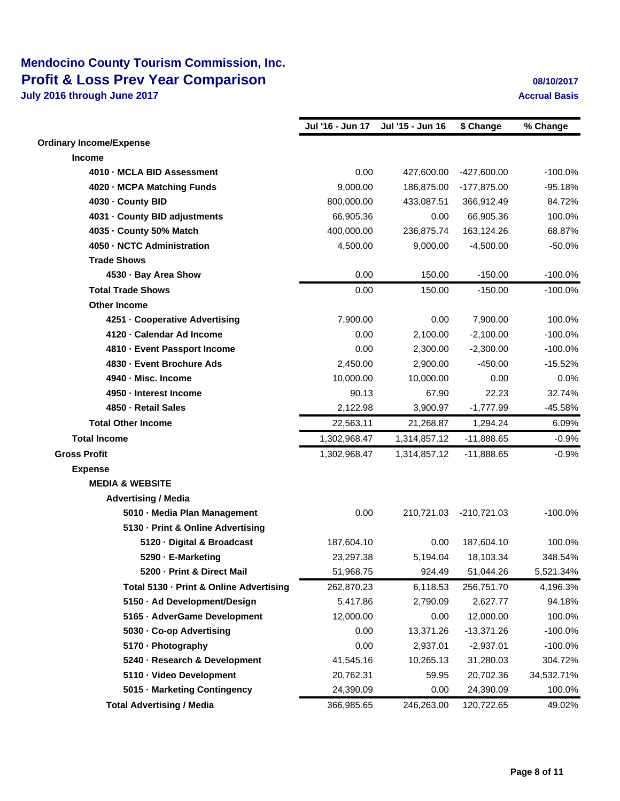## **Mendocino County Tourism Commission, Inc. Profit & Loss Prev Year Comparison 1987 102017 08/10/2017**

|                                         | Jul '16 - Jun 17 | Jul '15 - Jun 16 | \$ Change     | % Change   |
|-----------------------------------------|------------------|------------------|---------------|------------|
| <b>Ordinary Income/Expense</b>          |                  |                  |               |            |
| <b>Income</b>                           |                  |                  |               |            |
| 4010 - MCLA BID Assessment              | 0.00             | 427,600.00       | $-427,600.00$ | $-100.0%$  |
| 4020 - MCPA Matching Funds              | 9,000.00         | 186,875.00       | -177,875.00   | $-95.18%$  |
| 4030 - County BID                       | 800,000.00       | 433,087.51       | 366,912.49    | 84.72%     |
| 4031 - County BID adjustments           | 66,905.36        | 0.00             | 66,905.36     | 100.0%     |
| 4035 - County 50% Match                 | 400,000.00       | 236,875.74       | 163,124.26    | 68.87%     |
| 4050 - NCTC Administration              | 4,500.00         | 9,000.00         | $-4,500.00$   | $-50.0%$   |
| <b>Trade Shows</b>                      |                  |                  |               |            |
| 4530 Bay Area Show                      | 0.00             | 150.00           | $-150.00$     | $-100.0%$  |
| <b>Total Trade Shows</b>                | 0.00             | 150.00           | $-150.00$     | $-100.0%$  |
| <b>Other Income</b>                     |                  |                  |               |            |
| 4251 Cooperative Advertising            | 7,900.00         | 0.00             | 7,900.00      | 100.0%     |
| 4120 Calendar Ad Income                 | 0.00             | 2.100.00         | $-2,100.00$   | $-100.0%$  |
| 4810 Event Passport Income              | 0.00             | 2,300.00         | $-2,300.00$   | $-100.0%$  |
| 4830 - Event Brochure Ads               | 2,450.00         | 2,900.00         | $-450.00$     | $-15.52%$  |
| 4940 - Misc. Income                     | 10,000.00        | 10,000.00        | 0.00          | 0.0%       |
| 4950 - Interest Income                  | 90.13            | 67.90            | 22.23         | 32.74%     |
| 4850 - Retail Sales                     | 2,122.98         | 3,900.97         | $-1,777.99$   | $-45.58%$  |
| <b>Total Other Income</b>               | 22,563.11        | 21,268.87        | 1,294.24      | 6.09%      |
| <b>Total Income</b>                     | 1,302,968.47     | 1,314,857.12     | $-11,888.65$  | $-0.9%$    |
| <b>Gross Profit</b>                     | 1,302,968.47     | 1,314,857.12     | $-11,888.65$  | $-0.9%$    |
| <b>Expense</b>                          |                  |                  |               |            |
| <b>MEDIA &amp; WEBSITE</b>              |                  |                  |               |            |
| <b>Advertising / Media</b>              |                  |                  |               |            |
| 5010 - Media Plan Management            | 0.00             | 210,721.03       | $-210,721.03$ | $-100.0%$  |
| 5130 - Print & Online Advertising       |                  |                  |               |            |
| 5120 Digital & Broadcast                | 187,604.10       | 0.00             | 187,604.10    | 100.0%     |
| 5290 E-Marketing                        | 23,297.38        | 5,194.04         | 18,103.34     | 348.54%    |
| 5200 - Print & Direct Mail              | 51,968.75        | 924.49           | 51,044.26     | 5,521.34%  |
| Total 5130 - Print & Online Advertising | 262,870.23       | 6,118.53         | 256,751.70    | 4,196.3%   |
| 5150 - Ad Development/Design            | 5,417.86         | 2,790.09         | 2,627.77      | 94.18%     |
| 5165 - AdverGame Development            | 12,000.00        | 0.00             | 12,000.00     | 100.0%     |
| 5030 Co-op Advertising                  | 0.00             | 13,371.26        | $-13,371.26$  | $-100.0%$  |
| 5170 Photography                        | 0.00             | 2,937.01         | $-2,937.01$   | $-100.0%$  |
| 5240 - Research & Development           | 41,545.16        | 10,265.13        | 31,280.03     | 304.72%    |
| 5110 Video Development                  | 20,762.31        | 59.95            | 20,702.36     | 34,532.71% |
| 5015 - Marketing Contingency            | 24,390.09        | 0.00             | 24,390.09     | 100.0%     |
| <b>Total Advertising / Media</b>        | 366,985.65       | 246,263.00       | 120,722.65    | 49.02%     |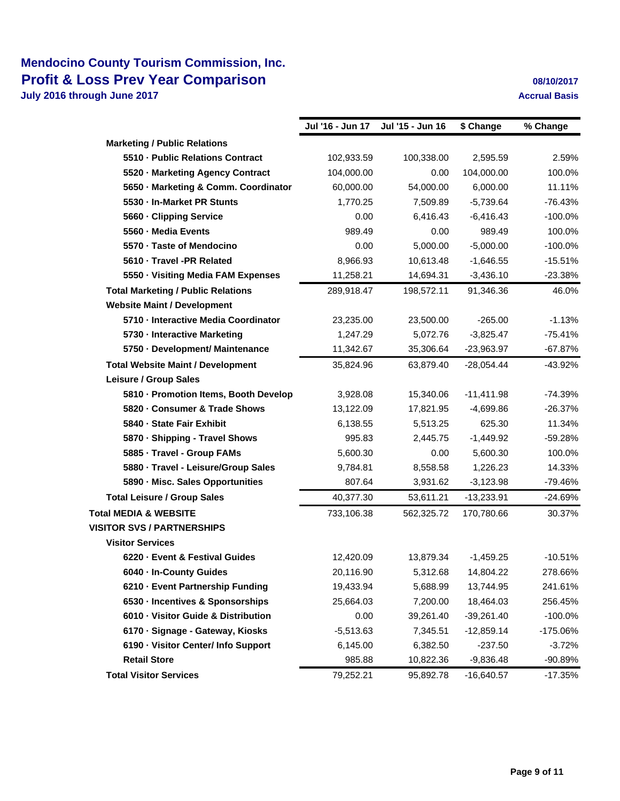## **Mendocino County Tourism Commission, Inc. Profit & Loss Prev Year Comparison 1987 102017 08/10/2017**

|                                           | Jul '16 - Jun 17 | Jul '15 - Jun 16 | \$ Change    | % Change   |
|-------------------------------------------|------------------|------------------|--------------|------------|
| <b>Marketing / Public Relations</b>       |                  |                  |              |            |
| 5510 Public Relations Contract            | 102,933.59       | 100,338.00       | 2,595.59     | 2.59%      |
| 5520 Marketing Agency Contract            | 104,000.00       | 0.00             | 104,000.00   | 100.0%     |
| 5650 Marketing & Comm. Coordinator        | 60,000.00        | 54,000.00        | 6,000.00     | 11.11%     |
| 5530 In-Market PR Stunts                  | 1,770.25         | 7,509.89         | $-5,739.64$  | $-76.43%$  |
| 5660 Clipping Service                     | 0.00             | 6,416.43         | $-6,416.43$  | $-100.0%$  |
| 5560 Media Events                         | 989.49           | 0.00             | 989.49       | 100.0%     |
| 5570 Taste of Mendocino                   | 0.00             | 5,000.00         | $-5,000.00$  | $-100.0%$  |
| 5610 Travel -PR Related                   | 8,966.93         | 10,613.48        | $-1,646.55$  | $-15.51%$  |
| 5550 Visiting Media FAM Expenses          | 11,258.21        | 14,694.31        | $-3,436.10$  | $-23.38%$  |
| <b>Total Marketing / Public Relations</b> | 289,918.47       | 198,572.11       | 91,346.36    | 46.0%      |
| <b>Website Maint / Development</b>        |                  |                  |              |            |
| 5710 Interactive Media Coordinator        | 23,235.00        | 23,500.00        | $-265.00$    | $-1.13%$   |
| 5730 Interactive Marketing                | 1,247.29         | 5,072.76         | $-3,825.47$  | $-75.41%$  |
| 5750 Development/ Maintenance             | 11,342.67        | 35,306.64        | $-23,963.97$ | $-67.87%$  |
| <b>Total Website Maint / Development</b>  | 35,824.96        | 63.879.40        | $-28,054.44$ | -43.92%    |
| Leisure / Group Sales                     |                  |                  |              |            |
| 5810 - Promotion Items, Booth Develop     | 3,928.08         | 15,340.06        | $-11,411.98$ | $-74.39%$  |
| 5820 Consumer & Trade Shows               | 13,122.09        | 17,821.95        | $-4,699.86$  | $-26.37%$  |
| 5840 State Fair Exhibit                   | 6,138.55         | 5,513.25         | 625.30       | 11.34%     |
| 5870 Shipping - Travel Shows              | 995.83           | 2,445.75         | $-1,449.92$  | $-59.28%$  |
| 5885 Travel - Group FAMs                  | 5,600.30         | 0.00             | 5,600.30     | 100.0%     |
| 5880 Travel - Leisure/Group Sales         | 9,784.81         | 8,558.58         | 1,226.23     | 14.33%     |
| 5890 - Misc. Sales Opportunities          | 807.64           | 3,931.62         | $-3,123.98$  | -79.46%    |
| <b>Total Leisure / Group Sales</b>        | 40,377.30        | 53,611.21        | $-13,233.91$ | $-24.69%$  |
| <b>Total MEDIA &amp; WEBSITE</b>          | 733,106.38       | 562,325.72       | 170,780.66   | 30.37%     |
| <b>VISITOR SVS / PARTNERSHIPS</b>         |                  |                  |              |            |
| <b>Visitor Services</b>                   |                  |                  |              |            |
| 6220 Event & Festival Guides              | 12,420.09        | 13,879.34        | $-1,459.25$  | $-10.51%$  |
| 6040 - In-County Guides                   | 20,116.90        | 5,312.68         | 14,804.22    | 278.66%    |
| 6210 · Event Partnership Funding          | 19,433.94        | 5,688.99         | 13,744.95    | 241.61%    |
| 6530 - Incentives & Sponsorships          | 25,664.03        | 7,200.00         | 18,464.03    | 256.45%    |
| 6010 Visitor Guide & Distribution         | 0.00             | 39,261.40        | $-39,261.40$ | $-100.0\%$ |
| 6170 · Signage - Gateway, Kiosks          | $-5,513.63$      | 7,345.51         | $-12,859.14$ | -175.06%   |
| 6190 Visitor Center/ Info Support         | 6,145.00         | 6,382.50         | $-237.50$    | $-3.72%$   |
| <b>Retail Store</b>                       | 985.88           | 10,822.36        | $-9,836.48$  | -90.89%    |
| <b>Total Visitor Services</b>             | 79,252.21        | 95,892.78        | $-16,640.57$ | $-17.35%$  |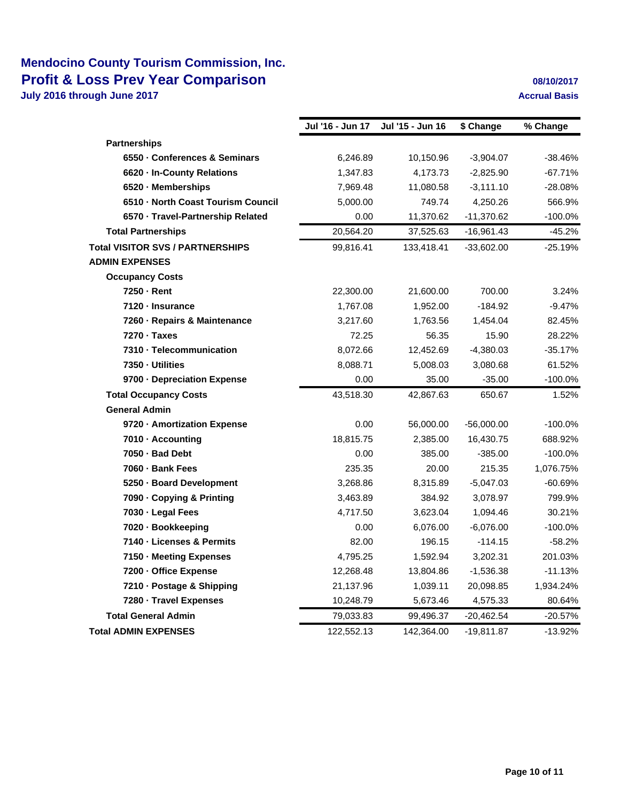## **Mendocino County Tourism Commission, Inc. Profit & Loss Prev Year Comparison 1987 102017 08/10/2017**

|                                         | Jul '16 - Jun 17 | Jul '15 - Jun 16 | \$ Change    | % Change   |
|-----------------------------------------|------------------|------------------|--------------|------------|
| <b>Partnerships</b>                     |                  |                  |              |            |
| 6550 Conferences & Seminars             | 6,246.89         | 10,150.96        | $-3,904.07$  | $-38.46%$  |
| 6620 - In-County Relations              | 1,347.83         | 4,173.73         | $-2,825.90$  | $-67.71%$  |
| 6520 Memberships                        | 7,969.48         | 11,080.58        | $-3,111.10$  | $-28.08%$  |
| 6510 North Coast Tourism Council        | 5,000.00         | 749.74           | 4,250.26     | 566.9%     |
| 6570 Travel-Partnership Related         | 0.00             | 11,370.62        | $-11,370.62$ | $-100.0\%$ |
| <b>Total Partnerships</b>               | 20,564.20        | 37,525.63        | -16,961.43   | $-45.2%$   |
| <b>Total VISITOR SVS / PARTNERSHIPS</b> | 99,816.41        | 133,418.41       | $-33,602.00$ | $-25.19%$  |
| <b>ADMIN EXPENSES</b>                   |                  |                  |              |            |
| <b>Occupancy Costs</b>                  |                  |                  |              |            |
| 7250 Rent                               | 22,300.00        | 21,600.00        | 700.00       | 3.24%      |
| 7120 - Insurance                        | 1,767.08         | 1,952.00         | $-184.92$    | $-9.47%$   |
| 7260 - Repairs & Maintenance            | 3,217.60         | 1,763.56         | 1,454.04     | 82.45%     |
| $7270 \cdot \text{Taxes}$               | 72.25            | 56.35            | 15.90        | 28.22%     |
| 7310 Telecommunication                  | 8,072.66         | 12,452.69        | $-4,380.03$  | $-35.17%$  |
| 7350 Utilities                          | 8,088.71         | 5,008.03         | 3,080.68     | 61.52%     |
| 9700 Depreciation Expense               | 0.00             | 35.00            | $-35.00$     | $-100.0%$  |
| <b>Total Occupancy Costs</b>            | 43,518.30        | 42,867.63        | 650.67       | 1.52%      |
| <b>General Admin</b>                    |                  |                  |              |            |
| 9720 - Amortization Expense             | 0.00             | 56,000.00        | $-56,000.00$ | $-100.0%$  |
| 7010 Accounting                         | 18,815.75        | 2,385.00         | 16,430.75    | 688.92%    |
| 7050 Bad Debt                           | 0.00             | 385.00           | $-385.00$    | $-100.0\%$ |
| 7060 Bank Fees                          | 235.35           | 20.00            | 215.35       | 1,076.75%  |
| 5250 Board Development                  | 3,268.86         | 8,315.89         | $-5,047.03$  | -60.69%    |
| 7090 Copying & Printing                 | 3,463.89         | 384.92           | 3,078.97     | 799.9%     |
| 7030 Legal Fees                         | 4,717.50         | 3,623.04         | 1,094.46     | 30.21%     |
| 7020 Bookkeeping                        | 0.00             | 6,076.00         | $-6,076.00$  | $-100.0%$  |
| 7140 - Licenses & Permits               | 82.00            | 196.15           | $-114.15$    | $-58.2%$   |
| 7150 Meeting Expenses                   | 4,795.25         | 1,592.94         | 3,202.31     | 201.03%    |
| 7200 Office Expense                     | 12,268.48        | 13,804.86        | $-1,536.38$  | $-11.13%$  |
| 7210 Postage & Shipping                 | 21,137.96        | 1,039.11         | 20,098.85    | 1,934.24%  |
| 7280 Travel Expenses                    | 10,248.79        | 5,673.46         | 4,575.33     | 80.64%     |
| <b>Total General Admin</b>              | 79,033.83        | 99,496.37        | $-20,462.54$ | $-20.57%$  |
| <b>Total ADMIN EXPENSES</b>             | 122,552.13       | 142,364.00       | -19,811.87   | -13.92%    |